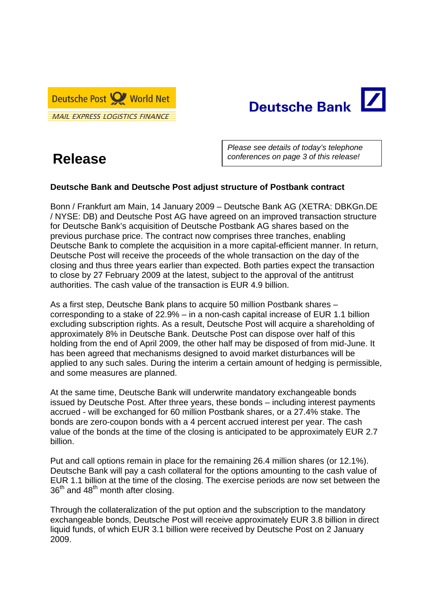



## **Release**

*Please see details of today's telephone conferences on page 3 of this release!* 

## **Deutsche Bank and Deutsche Post adjust structure of Postbank contract**

Bonn / Frankfurt am Main, 14 January 2009 – Deutsche Bank AG (XETRA: DBKGn.DE / NYSE: DB) and Deutsche Post AG have agreed on an improved transaction structure for Deutsche Bank's acquisition of Deutsche Postbank AG shares based on the previous purchase price. The contract now comprises three tranches, enabling Deutsche Bank to complete the acquisition in a more capital-efficient manner. In return, Deutsche Post will receive the proceeds of the whole transaction on the day of the closing and thus three years earlier than expected. Both parties expect the transaction to close by 27 February 2009 at the latest, subject to the approval of the antitrust authorities. The cash value of the transaction is EUR 4.9 billion.

As a first step, Deutsche Bank plans to acquire 50 million Postbank shares – corresponding to a stake of 22.9% – in a non-cash capital increase of EUR 1.1 billion excluding subscription rights. As a result, Deutsche Post will acquire a shareholding of approximately 8% in Deutsche Bank. Deutsche Post can dispose over half of this holding from the end of April 2009, the other half may be disposed of from mid-June. It has been agreed that mechanisms designed to avoid market disturbances will be applied to any such sales. During the interim a certain amount of hedging is permissible, and some measures are planned.

At the same time, Deutsche Bank will underwrite mandatory exchangeable bonds issued by Deutsche Post. After three years, these bonds – including interest payments accrued - will be exchanged for 60 million Postbank shares, or a 27.4% stake. The bonds are zero-coupon bonds with a 4 percent accrued interest per year. The cash value of the bonds at the time of the closing is anticipated to be approximately EUR 2.7 billion.

Put and call options remain in place for the remaining 26.4 million shares (or 12.1%). Deutsche Bank will pay a cash collateral for the options amounting to the cash value of EUR 1.1 billion at the time of the closing. The exercise periods are now set between the  $36<sup>th</sup>$  and  $48<sup>th</sup>$  month after closing.

Through the collateralization of the put option and the subscription to the mandatory exchangeable bonds, Deutsche Post will receive approximately EUR 3.8 billion in direct liquid funds, of which EUR 3.1 billion were received by Deutsche Post on 2 January 2009.